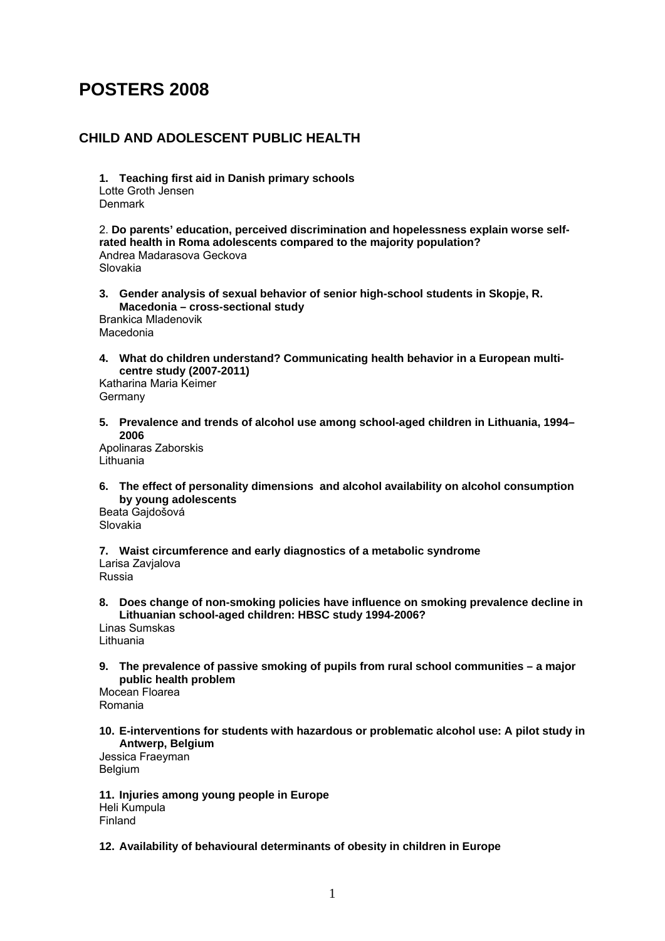# **POSTERS 2008**

## **CHILD AND ADOLESCENT PUBLIC HEALTH**

**1. Teaching first aid in Danish primary schools**  Lotte Groth Jensen Denmark

2. **Do parents' education, perceived discrimination and hopelessness explain worse selfrated health in Roma adolescents compared to the majority population?**  Andrea Madarasova Geckova Slovakia

- **3. Gender analysis of sexual behavior of senior high-school students in Skopje, R. Macedonia – cross-sectional study**  Brankica Mladenovik Macedonia
- **4. What do children understand? Communicating health behavior in a European multicentre study (2007-2011)**

Katharina Maria Keimer Germany

**5. Prevalence and trends of alcohol use among school-aged children in Lithuania, 1994– 2006** 

Apolinaras Zaborskis Lithuania

**6. The effect of personality dimensions and alcohol availability on alcohol consumption by young adolescents** 

Beata Gajdošová Slovakia

**7. Waist circumference and early diagnostics of a metabolic syndrome**  Larisa Zavialova

Russia

**8. Does change of non-smoking policies have influence on smoking prevalence decline in Lithuanian school-aged children: HBSC study 1994-2006?** 

Linas Sumskas Lithuania

**9. The prevalence of passive smoking of pupils from rural school communities – a major public health problem** 

Mocean Floarea Romania

**10. E-interventions for students with hazardous or problematic alcohol use: A pilot study in Antwerp, Belgium** 

Jessica Fraeyman Belgium

**11. Injuries among young people in Europe**  Heli Kumpula Finland

**12. Availability of behavioural determinants of obesity in children in Europe**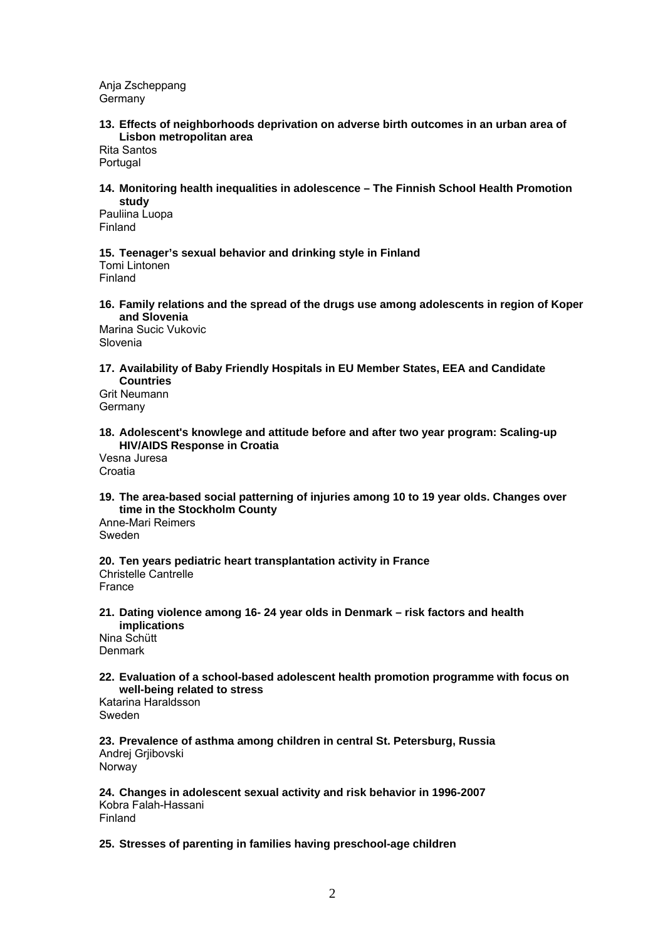Anja Zscheppang Germany

#### **13. Effects of neighborhoods deprivation on adverse birth outcomes in an urban area of Lisbon metropolitan area**

Rita Santos Portugal

#### **14. Monitoring health inequalities in adolescence – The Finnish School Health Promotion study**

Pauliina Luopa Finland

## **15. Teenager's sexual behavior and drinking style in Finland**

Tomi Lintonen Finland

### **16. Family relations and the spread of the drugs use among adolescents in region of Koper and Slovenia**

Marina Sucic Vukovic Slovenia

## **17. Availability of Baby Friendly Hospitals in EU Member States, EEA and Candidate Countries**

Grit Neumann Germany

## **18. Adolescent's knowlege and attitude before and after two year program: Scaling-up HIV/AIDS Response in Croatia**

Vesna Juresa Croatia

### **19. The area-based social patterning of injuries among 10 to 19 year olds. Changes over time in the Stockholm County**

Anne-Mari Reimers Sweden

## **20. Ten years pediatric heart transplantation activity in France**

Christelle Cantrelle France

#### **21. Dating violence among 16- 24 year olds in Denmark – risk factors and health implications**  Nina Schütt

Denmark

## **22. Evaluation of a school-based adolescent health promotion programme with focus on well-being related to stress**

Katarina Haraldsson Sweden

#### **23. Prevalence of asthma among children in central St. Petersburg, Russia**  Andrej Grjibovski Norway

**24. Changes in adolescent sexual activity and risk behavior in 1996-2007**  Kobra Falah-Hassani Finland

### **25. Stresses of parenting in families having preschool-age children**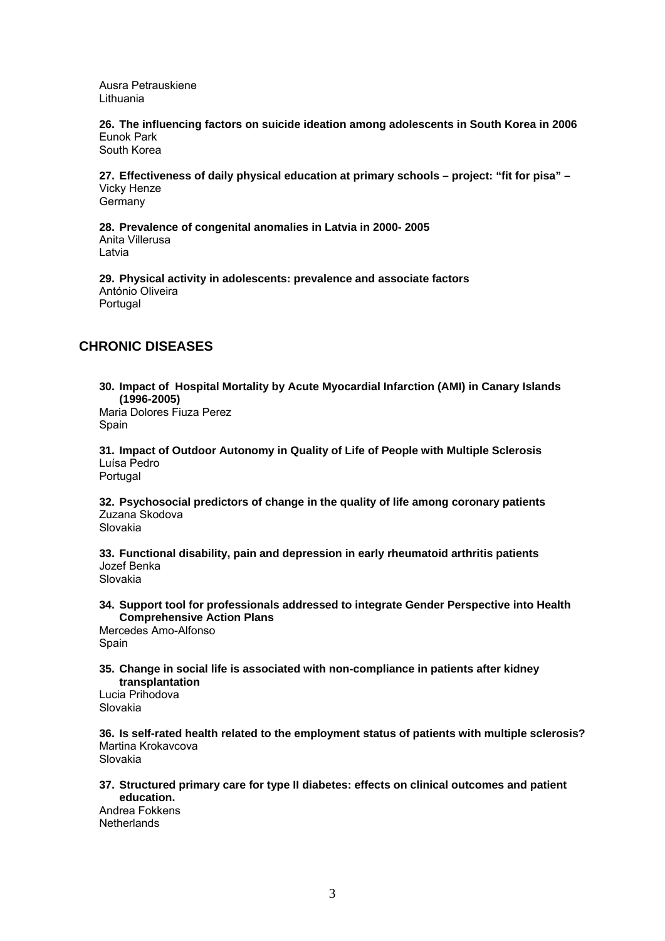Ausra Petrauskiene Lithuania

**26. The influencing factors on suicide ideation among adolescents in South Korea in 2006**  Eunok Park South Korea

**27. Effectiveness of daily physical education at primary schools – project: "fit for pisa" –**  Vicky Henze **Germany** 

**28. Prevalence of congenital anomalies in Latvia in 2000- 2005**  Anita Villerusa Latvia

**29. Physical activity in adolescents: prevalence and associate factors**  António Oliveira Portugal

## **CHRONIC DISEASES**

**30. Impact of Hospital Mortality by Acute Myocardial Infarction (AMI) in Canary Islands (1996-2005)** 

Maria Dolores Fiuza Perez Spain

**31. Impact of Outdoor Autonomy in Quality of Life of People with Multiple Sclerosis**  Luísa Pedro Portugal

**32. Psychosocial predictors of change in the quality of life among coronary patients**  Zuzana Skodova Slovakia

**33. Functional disability, pain and depression in early rheumatoid arthritis patients**  Jozef Benka Slovakia

**34. Support tool for professionals addressed to integrate Gender Perspective into Health Comprehensive Action Plans** 

Mercedes Amo-Alfonso Spain

**35. Change in social life is associated with non-compliance in patients after kidney transplantation** 

Lucia Prihodova Slovakia

**36. Is self-rated health related to the employment status of patients with multiple sclerosis?**  Martina Krokavcova Slovakia

**37. Structured primary care for type II diabetes: effects on clinical outcomes and patient education.** 

Andrea Fokkens **Netherlands**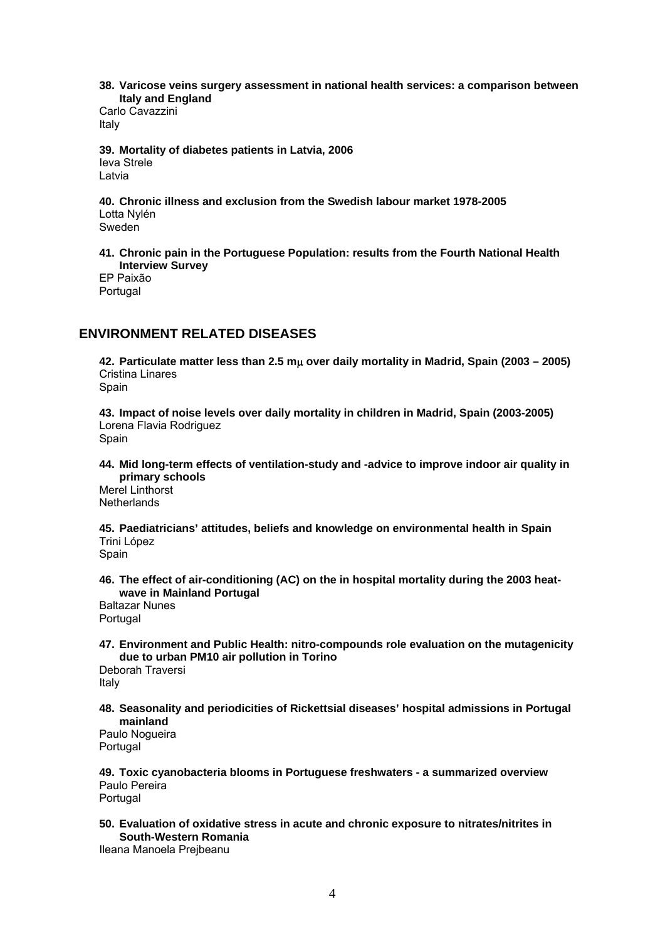**38. Varicose veins surgery assessment in national health services: a comparison between Italy and England** 

Carlo Cavazzini Italy

**39. Mortality of diabetes patients in Latvia, 2006**  Ieva Strele Latvia

**40. Chronic illness and exclusion from the Swedish labour market 1978-2005**  Lotta Nylén Sweden

**41. Chronic pain in the Portuguese Population: results from the Fourth National Health Interview Survey**  EP Paixão

Portugal

## **ENVIRONMENT RELATED DISEASES**

**42. Particulate matter less than 2.5 m**μ **over daily mortality in Madrid, Spain (2003 – 2005)**  Cristina Linares Spain

**43. Impact of noise levels over daily mortality in children in Madrid, Spain (2003-2005)**  Lorena Flavia Rodriguez

Spain

**44. Mid long-term effects of ventilation-study and -advice to improve indoor air quality in primary schools** 

Merel Linthorst **Netherlands** 

**45. Paediatricians' attitudes, beliefs and knowledge on environmental health in Spain**  Trini López Spain

**46. The effect of air-conditioning (AC) on the in hospital mortality during the 2003 heatwave in Mainland Portugal** 

Baltazar Nunes Portugal

**47. Environment and Public Health: nitro-compounds role evaluation on the mutagenicity due to urban PM10 air pollution in Torino**  Deborah Traversi

Italy

**48. Seasonality and periodicities of Rickettsial diseases' hospital admissions in Portugal mainland** 

Paulo Nogueira Portugal

**49. Toxic cyanobacteria blooms in Portuguese freshwaters - a summarized overview**  Paulo Pereira Portugal

**50. Evaluation of oxidative stress in acute and chronic exposure to nitrates/nitrites in South-Western Romania** 

Ileana Manoela Prejbeanu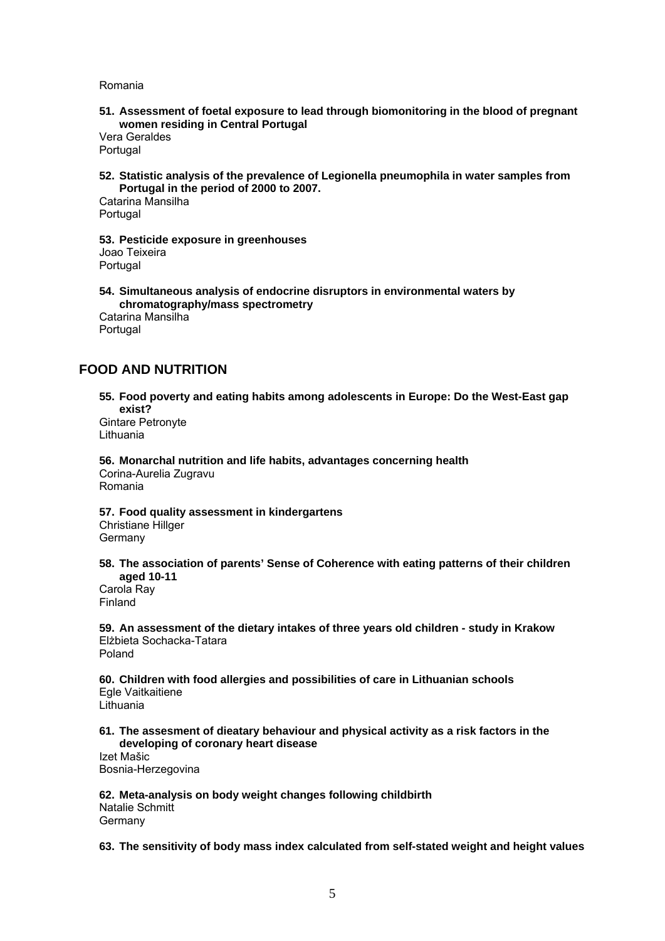Romania

**51. Assessment of foetal exposure to lead through biomonitoring in the blood of pregnant women residing in Central Portugal** 

Vera Geraldes Portugal

**52. Statistic analysis of the prevalence of Legionella pneumophila in water samples from Portugal in the period of 2000 to 2007.** 

Catarina Mansilha Portugal

**53. Pesticide exposure in greenhouses**  Joao Teixeira **Portugal** 

**54. Simultaneous analysis of endocrine disruptors in environmental waters by chromatography/mass spectrometry**  Catarina Mansilha

Portugal

## **FOOD AND NUTRITION**

**55. Food poverty and eating habits among adolescents in Europe: Do the West-East gap exist?** 

Gintare Petronyte Lithuania

**56. Monarchal nutrition and life habits, advantages concerning health**  Corina-Aurelia Zugravu Romania

**57. Food quality assessment in kindergartens**  Christiane Hillger

**Germany** 

**58. The association of parents' Sense of Coherence with eating patterns of their children aged 10-11** 

Carola Ray Finland

**59. An assessment of the dietary intakes of three years old children - study in Krakow**  Elżbieta Sochacka-Tatara Poland

**60. Children with food allergies and possibilities of care in Lithuanian schools**  Egle Vaitkaitiene Lithuania

**61. The assesment of dieatary behaviour and physical activity as a risk factors in the developing of coronary heart disease** 

Izet Mašic Bosnia-Herzegovina

**62. Meta-analysis on body weight changes following childbirth**  Natalie Schmitt Germany

**63. The sensitivity of body mass index calculated from self-stated weight and height values**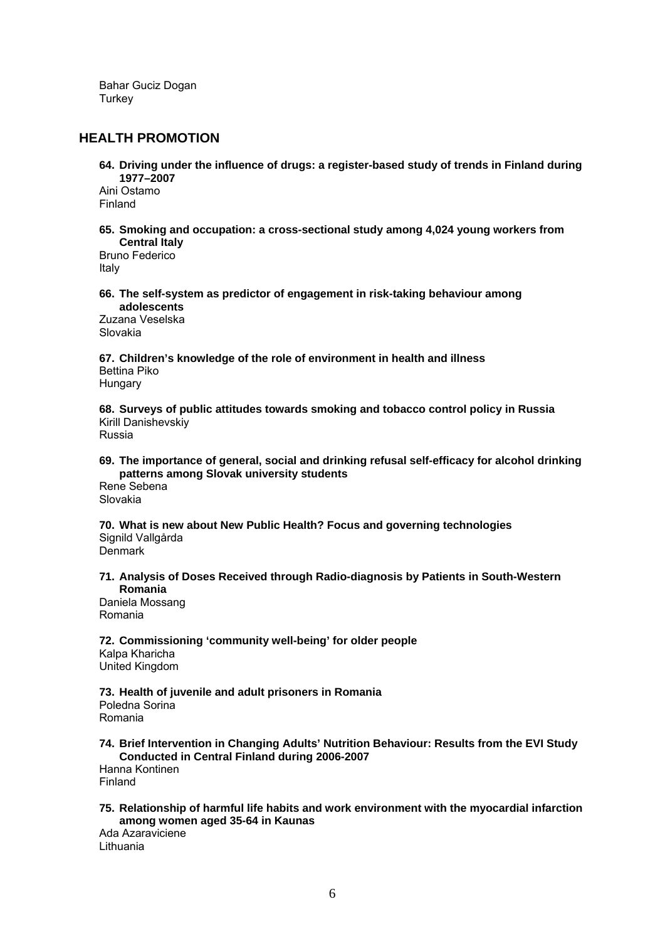Bahar Guciz Dogan **Turkey** 

## **HEALTH PROMOTION**

**64. Driving under the influence of drugs: a register-based study of trends in Finland during 1977–2007** 

Aini Ostamo Finland

**65. Smoking and occupation: a cross-sectional study among 4,024 young workers from Central Italy** 

Bruno Federico Italy

**66. The self-system as predictor of engagement in risk-taking behaviour among adolescents** 

Zuzana Veselska Slovakia

**67. Children's knowledge of the role of environment in health and illness**  Bettina Piko Hungary

**68. Surveys of public attitudes towards smoking and tobacco control policy in Russia**  Kirill Danishevskiy

Russia

### **69. The importance of general, social and drinking refusal self-efficacy for alcohol drinking patterns among Slovak university students**

Rene Sebena Slovakia

**70. What is new about New Public Health? Focus and governing technologies**  Signild Vallgårda Denmark

**71. Analysis of Doses Received through Radio-diagnosis by Patients in South-Western Romania** 

Daniela Mossang Romania

**72. Commissioning 'community well-being' for older people** 

Kalpa Kharicha United Kingdom

**73. Health of juvenile and adult prisoners in Romania**  Poledna Sorina Romania

**74. Brief Intervention in Changing Adults' Nutrition Behaviour: Results from the EVI Study Conducted in Central Finland during 2006-2007** 

Hanna Kontinen Finland

#### **75. Relationship of harmful life habits and work environment with the myocardial infarction among women aged 35-64 in Kaunas**

Ada Azaraviciene Lithuania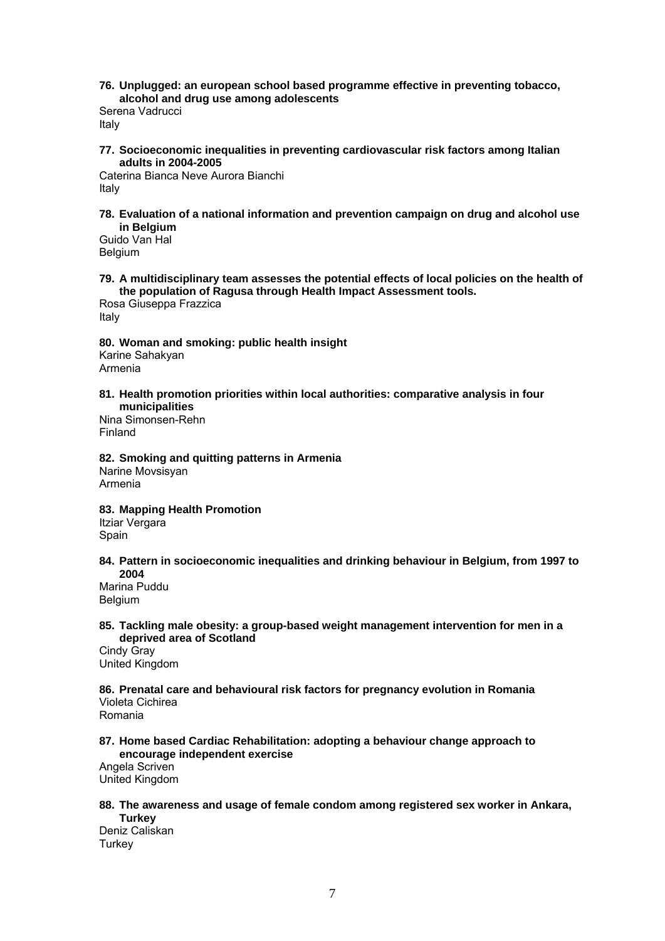**76. Unplugged: an european school based programme effective in preventing tobacco, alcohol and drug use among adolescents** 

Serena Vadrucci Italy

**77. Socioeconomic inequalities in preventing cardiovascular risk factors among Italian adults in 2004-2005** 

Caterina Bianca Neve Aurora Bianchi Italy

**78. Evaluation of a national information and prevention campaign on drug and alcohol use in Belgium** 

Guido Van Hal Belgium

**79. A multidisciplinary team assesses the potential effects of local policies on the health of the population of Ragusa through Health Impact Assessment tools.** 

Rosa Giuseppa Frazzica Italy

**80. Woman and smoking: public health insight**  Karine Sahakyan Armenia

**81. Health promotion priorities within local authorities: comparative analysis in four municipalities** 

Nina Simonsen-Rehn Finland

**82. Smoking and quitting patterns in Armenia**  Narine Movsisyan Armenia

**83. Mapping Health Promotion** 

Itziar Vergara **Spain** 

**84. Pattern in socioeconomic inequalities and drinking behaviour in Belgium, from 1997 to 2004** 

Marina Puddu Belgium

**85. Tackling male obesity: a group-based weight management intervention for men in a deprived area of Scotland** 

Cindy Gray United Kingdom

**86. Prenatal care and behavioural risk factors for pregnancy evolution in Romania**  Violeta Cichirea

Romania

**87. Home based Cardiac Rehabilitation: adopting a behaviour change approach to encourage independent exercise** 

Angela Scriven United Kingdom

**88. The awareness and usage of female condom among registered sex worker in Ankara,** 

**Turkey**  Deniz Caliskan **Turkey**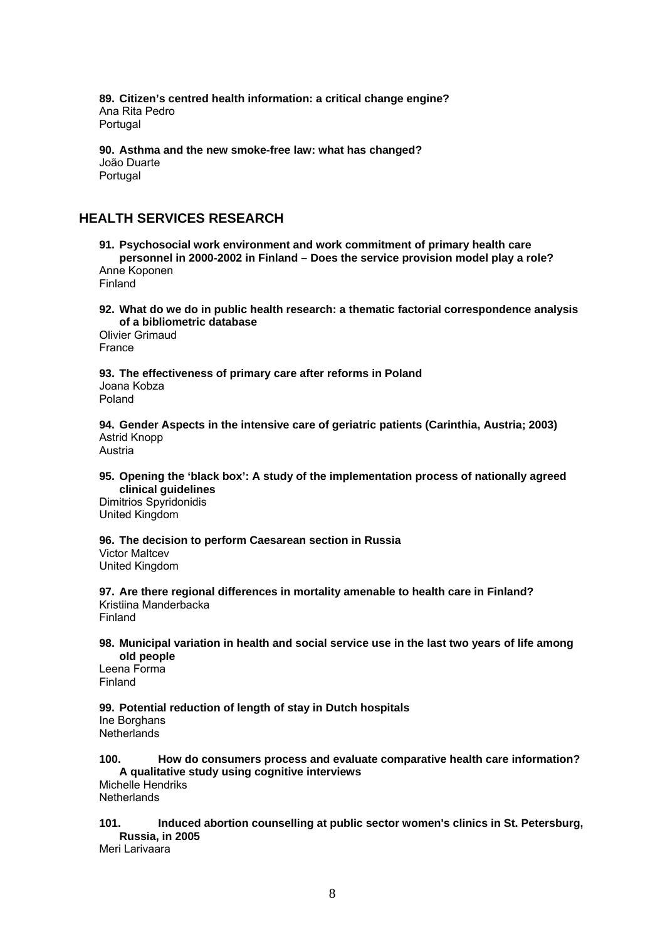**89. Citizen's centred health information: a critical change engine?**  Ana Rita Pedro Portugal

**90. Asthma and the new smoke-free law: what has changed?**  João Duarte Portugal

## **HEALTH SERVICES RESEARCH**

**91. Psychosocial work environment and work commitment of primary health care personnel in 2000-2002 in Finland – Does the service provision model play a role?**  Anne Koponen

Finland

**92. What do we do in public health research: a thematic factorial correspondence analysis of a bibliometric database** 

Olivier Grimaud France

**93. The effectiveness of primary care after reforms in Poland**  Joana Kobza Poland

**94. Gender Aspects in the intensive care of geriatric patients (Carinthia, Austria; 2003)**  Astrid Knopp Austria

**95. Opening the 'black box': A study of the implementation process of nationally agreed clinical guidelines** 

Dimitrios Spyridonidis United Kingdom

**96. The decision to perform Caesarean section in Russia** 

Victor Maltcev United Kingdom

**97. Are there regional differences in mortality amenable to health care in Finland?**  Kristiina Manderbacka Finland

**98. Municipal variation in health and social service use in the last two years of life among old people** 

Leena Forma Finland

## **99. Potential reduction of length of stay in Dutch hospitals**  Ine Borghans

**Netherlands** 

**100. How do consumers process and evaluate comparative health care information? A qualitative study using cognitive interviews**  Michelle Hendriks

**Netherlands** 

### **101. Induced abortion counselling at public sector women's clinics in St. Petersburg, Russia, in 2005**

Meri Larivaara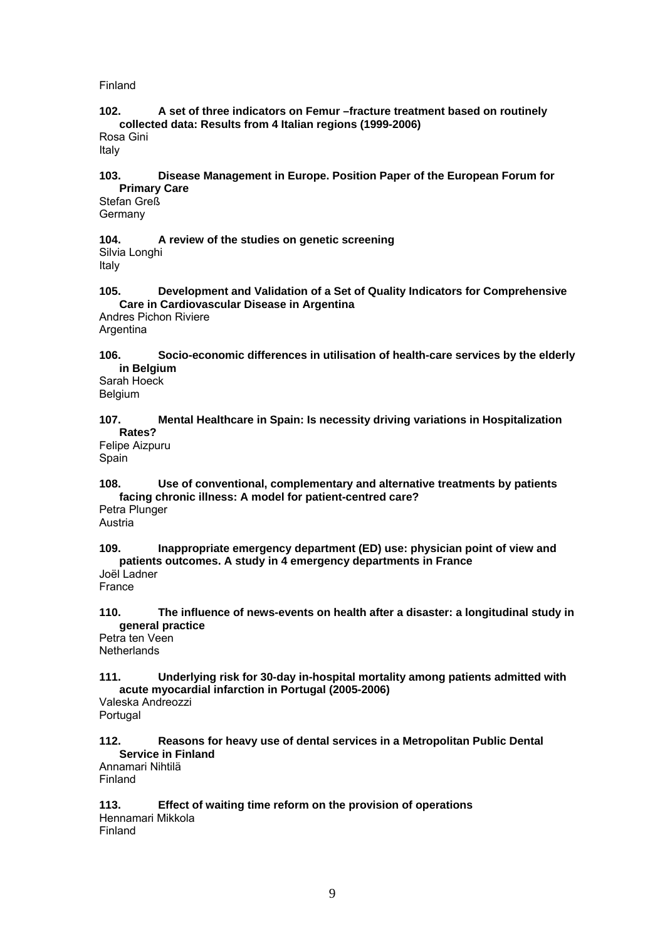### Finland

### **102. A set of three indicators on Femur –fracture treatment based on routinely collected data: Results from 4 Italian regions (1999-2006)**  Rosa Gini

Italy

#### **103. Disease Management in Europe. Position Paper of the European Forum for Primary Care**

Stefan Greß Germany

#### **104. A review of the studies on genetic screening**  Silvia Longhi Italy

**105. Development and Validation of a Set of Quality Indicators for Comprehensive Care in Cardiovascular Disease in Argentina** 

Andres Pichon Riviere Argentina

**106. Socio-economic differences in utilisation of health-care services by the elderly in Belgium** 

Sarah Hoeck Belgium

### **107. Mental Healthcare in Spain: Is necessity driving variations in Hospitalization Rates?**

Felipe Aizpuru Spain

## **108. Use of conventional, complementary and alternative treatments by patients facing chronic illness: A model for patient-centred care?**

Petra Plunger Austria

### **109. Inappropriate emergency department (ED) use: physician point of view and patients outcomes. A study in 4 emergency departments in France**

Joël Ladner France

## **110. The influence of news-events on health after a disaster: a longitudinal study in general practice**

Petra ten Veen **Netherlands** 

### **111. Underlying risk for 30-day in-hospital mortality among patients admitted with acute myocardial infarction in Portugal (2005-2006)**  Valeska Andreozzi

Portugal

## **112. Reasons for heavy use of dental services in a Metropolitan Public Dental Service in Finland**

Annamari Nihtilä Finland

## **113. Effect of waiting time reform on the provision of operations**  Hennamari Mikkola

Finland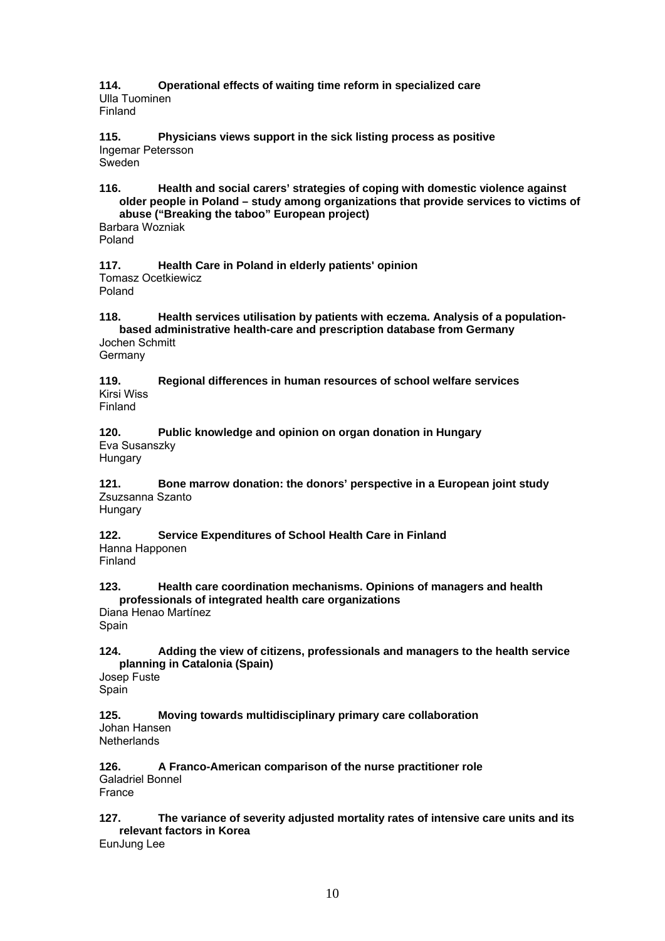**114. Operational effects of waiting time reform in specialized care**  Ulla Tuominen Finland

**115. Physicians views support in the sick listing process as positive**  Ingemar Petersson Sweden

**116. Health and social carers' strategies of coping with domestic violence against older people in Poland – study among organizations that provide services to victims of abuse ("Breaking the taboo" European project)** 

Barbara Wozniak Poland

**117. Health Care in Poland in elderly patients' opinion**  Tomasz Ocetkiewicz Poland

**118. Health services utilisation by patients with eczema. Analysis of a populationbased administrative health-care and prescription database from Germany**  Jochen Schmitt

**Germany** 

**119. Regional differences in human resources of school welfare services**  Kirsi Wiss Finland

**120. Public knowledge and opinion on organ donation in Hungary**  Eva Susanszky

Hungary

**121. Bone marrow donation: the donors' perspective in a European joint study**  Zsuzsanna Szanto **Hungary** 

**122. Service Expenditures of School Health Care in Finland**  Hanna Happonen

Finland

**123. Health care coordination mechanisms. Opinions of managers and health professionals of integrated health care organizations** 

Diana Henao Martínez Spain

**124. Adding the view of citizens, professionals and managers to the health service planning in Catalonia (Spain)** 

Josep Fuste Spain

**125. Moving towards multidisciplinary primary care collaboration**  Johan Hansen **Netherlands** 

**126. A Franco-American comparison of the nurse practitioner role**  Galadriel Bonnel France

#### **127. The variance of severity adjusted mortality rates of intensive care units and its relevant factors in Korea**

EunJung Lee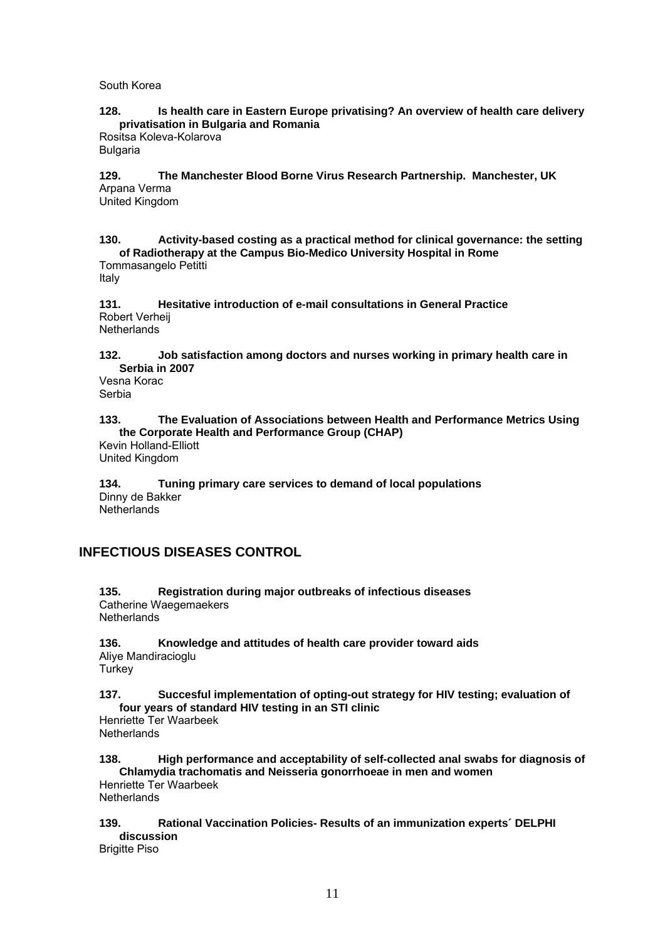South Korea

**128. Is health care in Eastern Europe privatising? An overview of health care delivery privatisation in Bulgaria and Romania** 

Rositsa Koleva-Kolarova **Bulgaria** 

### **129. The Manchester Blood Borne Virus Research Partnership. Manchester, UK**  Arpana Verma

United Kingdom

**130. Activity-based costing as a practical method for clinical governance: the setting of Radiotherapy at the Campus Bio-Medico University Hospital in Rome**  Tommasangelo Petitti

Italy

**131. Hesitative introduction of e-mail consultations in General Practice**  Robert Verheij Netherlands

**132. Job satisfaction among doctors and nurses working in primary health care in Serbia in 2007** 

Vesna Korac Serbia

## **133. The Evaluation of Associations between Health and Performance Metrics Using the Corporate Health and Performance Group (CHAP)**

Kevin Holland-Elliott United Kingdom

**134. Tuning primary care services to demand of local populations**  Dinny de Bakker **Netherlands** 

## **INFECTIOUS DISEASES CONTROL**

**135. Registration during major outbreaks of infectious diseases**  Catherine Waegemaekers **Netherlands** 

**136. Knowledge and attitudes of health care provider toward aids**  Aliye Mandiracioglu **Turkey** 

**137. Succesful implementation of opting-out strategy for HIV testing; evaluation of four years of standard HIV testing in an STI clinic** 

Henriette Ter Waarbeek **Netherlands** 

**138. High performance and acceptability of self-collected anal swabs for diagnosis of Chlamydia trachomatis and Neisseria gonorrhoeae in men and women**  Henriette Ter Waarbeek **Netherlands** 

**139. Rational Vaccination Policies- Results of an immunization experts´ DELPHI discussion** 

Brigitte Piso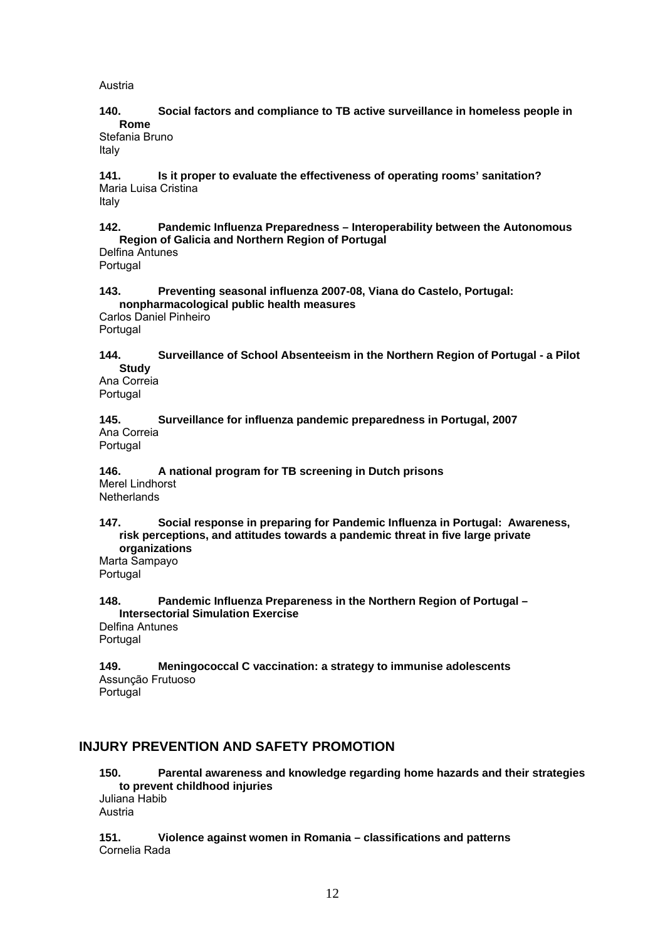Austria

### **140. Social factors and compliance to TB active surveillance in homeless people in Rome**

Stefania Bruno Italy

**141. Is it proper to evaluate the effectiveness of operating rooms' sanitation?**  Maria Luisa Cristina

Italy

## **142. Pandemic Influenza Preparedness – Interoperability between the Autonomous Region of Galicia and Northern Region of Portugal**

Delfina Antunes **Portugal** 

## **143. Preventing seasonal influenza 2007-08, Viana do Castelo, Portugal: nonpharmacological public health measures**

Carlos Daniel Pinheiro Portugal

**144. Surveillance of School Absenteeism in the Northern Region of Portugal - a Pilot Study** 

Ana Correia Portugal

**145. Surveillance for influenza pandemic preparedness in Portugal, 2007**  Ana Correia Portugal

**146. A national program for TB screening in Dutch prisons**  Merel Lindhorst **Netherlands** 

**147. Social response in preparing for Pandemic Influenza in Portugal: Awareness, risk perceptions, and attitudes towards a pandemic threat in five large private organizations** 

Marta Sampayo Portugal

**148. Pandemic Influenza Prepareness in the Northern Region of Portugal – Intersectorial Simulation Exercise**  Delfina Antunes

Portugal

**149. Meningococcal C vaccination: a strategy to immunise adolescents**  Assunção Frutuoso Portugal

## **INJURY PREVENTION AND SAFETY PROMOTION**

**150. Parental awareness and knowledge regarding home hazards and their strategies to prevent childhood injuries**  Juliana Habib

Austria

**151. Violence against women in Romania – classifications and patterns**  Cornelia Rada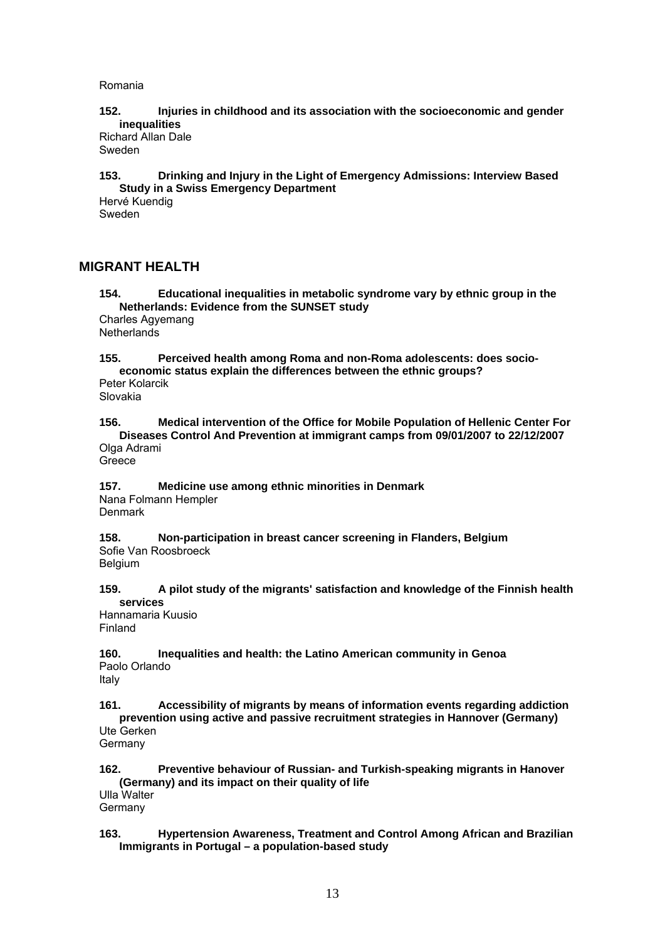Romania

**152. Injuries in childhood and its association with the socioeconomic and gender inequalities** 

Richard Allan Dale Sweden

**153. Drinking and Injury in the Light of Emergency Admissions: Interview Based Study in a Swiss Emergency Department** 

Hervé Kuendig Sweden

## **MIGRANT HEALTH**

**154. Educational inequalities in metabolic syndrome vary by ethnic group in the Netherlands: Evidence from the SUNSET study**  Charles Agyemang **Netherlands** 

**155. Perceived health among Roma and non-Roma adolescents: does socioeconomic status explain the differences between the ethnic groups?**  Peter Kolarcik

Slovakia

**156. Medical intervention of the Office for Mobile Population of Hellenic Center For Diseases Control And Prevention at immigrant camps from 09/01/2007 to 22/12/2007**  Olga Adrami

**Greece** 

**157. Medicine use among ethnic minorities in Denmark**  Nana Folmann Hempler Denmark

**158. Non-participation in breast cancer screening in Flanders, Belgium**  Sofie Van Roosbroeck **Belgium** 

**159. A pilot study of the migrants' satisfaction and knowledge of the Finnish health services** 

Hannamaria Kuusio Finland

**160. Inequalities and health: the Latino American community in Genoa**  Paolo Orlando Italy

**161. Accessibility of migrants by means of information events regarding addiction prevention using active and passive recruitment strategies in Hannover (Germany)** 

Ute Gerken Germany

**162. Preventive behaviour of Russian- and Turkish-speaking migrants in Hanover (Germany) and its impact on their quality of life**  Ulla Walter

Germany

### **163. Hypertension Awareness, Treatment and Control Among African and Brazilian Immigrants in Portugal – a population-based study**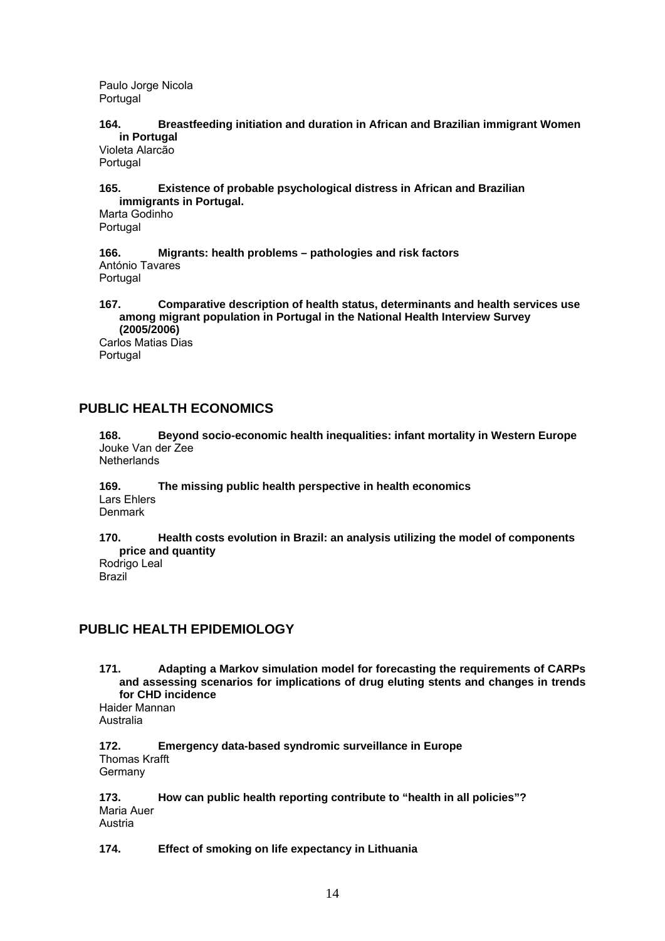Paulo Jorge Nicola Portugal

### **164. Breastfeeding initiation and duration in African and Brazilian immigrant Women in Portugal**

Violeta Alarcão Portugal

### **165. Existence of probable psychological distress in African and Brazilian immigrants in Portugal.**

Marta Godinho Portugal

**166. Migrants: health problems – pathologies and risk factors**  António Tavares Portugal

## **167. Comparative description of health status, determinants and health services use among migrant population in Portugal in the National Health Interview Survey (2005/2006)**

Carlos Matias Dias Portugal

## **PUBLIC HEALTH ECONOMICS**

**168. Beyond socio-economic health inequalities: infant mortality in Western Europe**  Jouke Van der Zee **Netherlands** 

### **169. The missing public health perspective in health economics**  Lars Ehlers Denmark

**170. Health costs evolution in Brazil: an analysis utilizing the model of components price and quantity**  Rodrigo Leal

Brazil

## **PUBLIC HEALTH EPIDEMIOLOGY**

**171. Adapting a Markov simulation model for forecasting the requirements of CARPs and assessing scenarios for implications of drug eluting stents and changes in trends for CHD incidence** 

Haider Mannan Australia

**172. Emergency data-based syndromic surveillance in Europe**  Thomas Krafft Germany

**173. How can public health reporting contribute to "health in all policies"?**  Maria Auer **Austria** 

## **174. Effect of smoking on life expectancy in Lithuania**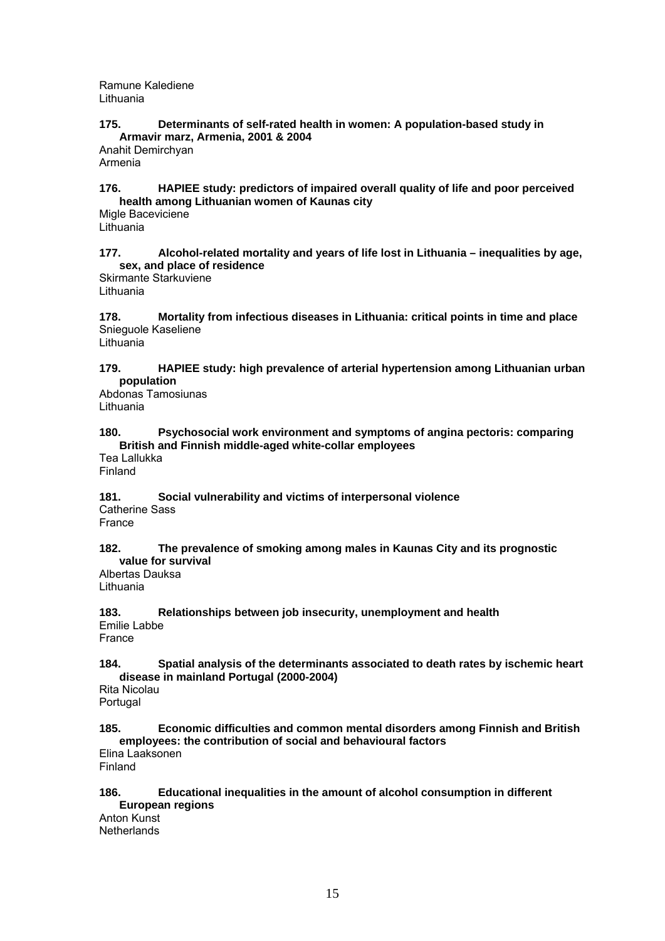Ramune Kalediene Lithuania

### **175. Determinants of self-rated health in women: A population-based study in Armavir marz, Armenia, 2001 & 2004**

Anahit Demirchyan Armenia

### **176. HAPIEE study: predictors of impaired overall quality of life and poor perceived health among Lithuanian women of Kaunas city**

Migle Baceviciene Lithuania

### **177. Alcohol-related mortality and years of life lost in Lithuania – inequalities by age, sex, and place of residence**

Skirmante Starkuviene Lithuania

**178. Mortality from infectious diseases in Lithuania: critical points in time and place**  Snieguole Kaseliene

Lithuania

## **179. HAPIEE study: high prevalence of arterial hypertension among Lithuanian urban population**

Abdonas Tamosiunas Lithuania

### **180. Psychosocial work environment and symptoms of angina pectoris: comparing British and Finnish middle-aged white-collar employees**

Tea Lallukka Finland

**181. Social vulnerability and victims of interpersonal violence**  Catherine Sass France

### **182. The prevalence of smoking among males in Kaunas City and its prognostic value for survival**

Albertas Dauksa Lithuania

#### **183. Relationships between job insecurity, unemployment and health**  Emilie Labbe France

## **184. Spatial analysis of the determinants associated to death rates by ischemic heart disease in mainland Portugal (2000-2004)**

Rita Nicolau Portugal

#### **185. Economic difficulties and common mental disorders among Finnish and British employees: the contribution of social and behavioural factors**

Elina Laaksonen Finland

## **186. Educational inequalities in the amount of alcohol consumption in different**

**European regions**  Anton Kunst **Netherlands**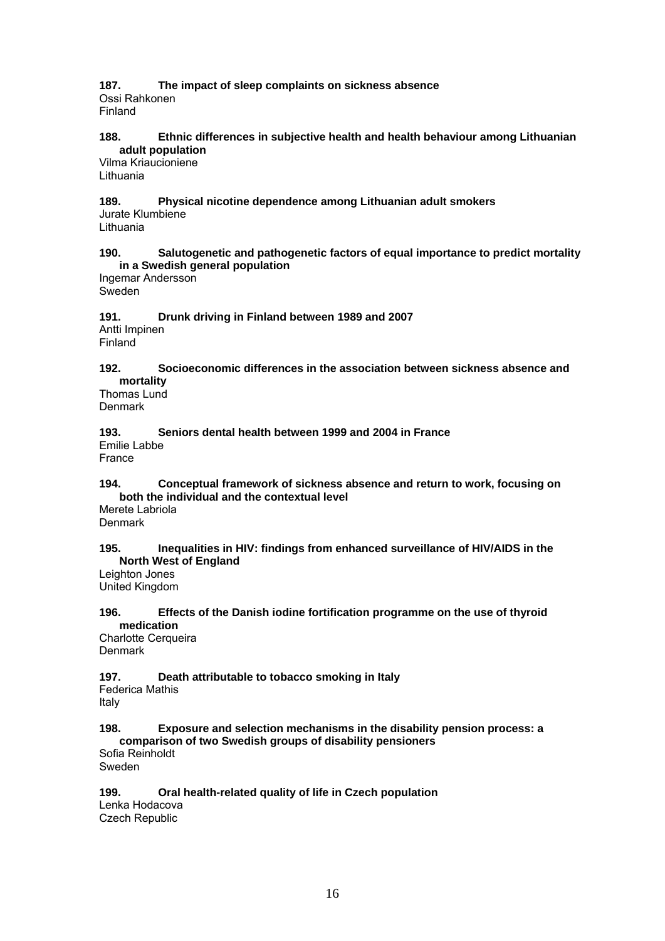## **187. The impact of sleep complaints on sickness absence**  Ossi Rahkonen

Finland

## **188. Ethnic differences in subjective health and health behaviour among Lithuanian adult population**

Vilma Kriaucioniene Lithuania

#### **189. Physical nicotine dependence among Lithuanian adult smokers**  Jurate Klumbiene Lithuania

## **190. Salutogenetic and pathogenetic factors of equal importance to predict mortality in a Swedish general population**

Ingemar Andersson Sweden

#### **191. Drunk driving in Finland between 1989 and 2007**  Antti Impinen Finland

## **192. Socioeconomic differences in the association between sickness absence and mortality**

Thomas Lund Denmark

#### **193. Seniors dental health between 1999 and 2004 in France**  Emilie Labbe

France

## **194. Conceptual framework of sickness absence and return to work, focusing on both the individual and the contextual level**

Merete Labriola Denmark

## **195. Inequalities in HIV: findings from enhanced surveillance of HIV/AIDS in the North West of England**

Leighton Jones United Kingdom

## **196. Effects of the Danish iodine fortification programme on the use of thyroid medication**

Charlotte Cerqueira **Denmark** 

## **197. Death attributable to tobacco smoking in Italy**

Federica Mathis Italy

### **198. Exposure and selection mechanisms in the disability pension process: a comparison of two Swedish groups of disability pensioners**

Sofia Reinholdt Sweden

## **199. Oral health-related quality of life in Czech population**

Lenka Hodacova Czech Republic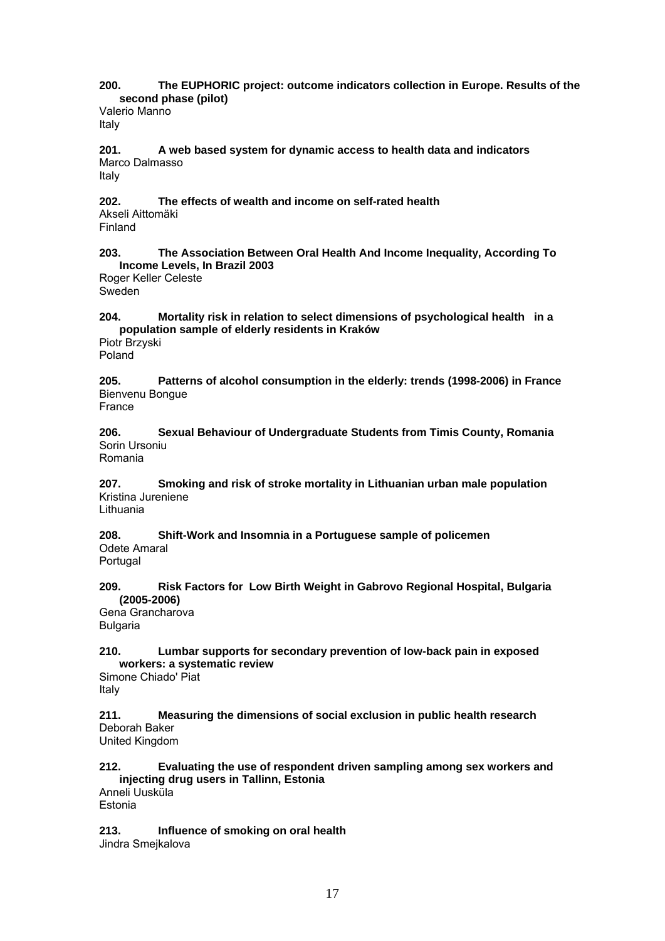**200. The EUPHORIC project: outcome indicators collection in Europe. Results of the second phase (pilot)** 

Valerio Manno Italy

**201. A web based system for dynamic access to health data and indicators**  Marco Dalmasso Italy

**202. The effects of wealth and income on self-rated health**  Akseli Aittomäki Finland

**203. The Association Between Oral Health And Income Inequality, According To Income Levels, In Brazil 2003** 

Roger Keller Celeste Sweden

**204. Mortality risk in relation to select dimensions of psychological health in a population sample of elderly residents in Kraków** 

Piotr Brzyski Poland

**205. Patterns of alcohol consumption in the elderly: trends (1998-2006) in France**  Bienvenu Bongue France

**206. Sexual Behaviour of Undergraduate Students from Timis County, Romania**  Sorin Ursoniu Romania

**207. Smoking and risk of stroke mortality in Lithuanian urban male population**  Kristina Jureniene Lithuania

**208. Shift-Work and Insomnia in a Portuguese sample of policemen**  Odete Amaral

**Portugal** 

**209. Risk Factors for Low Birth Weight in Gabrovo Regional Hospital, Bulgaria (2005-2006)** 

Gena Grancharova Bulgaria

**210. Lumbar supports for secondary prevention of low-back pain in exposed workers: a systematic review** 

Simone Chiado' Piat Italy

**211. Measuring the dimensions of social exclusion in public health research**  Deborah Baker United Kingdom

**212. Evaluating the use of respondent driven sampling among sex workers and injecting drug users in Tallinn, Estonia**  Anneli Uusküla

Estonia

**213. Influence of smoking on oral health**  Jindra Smejkalova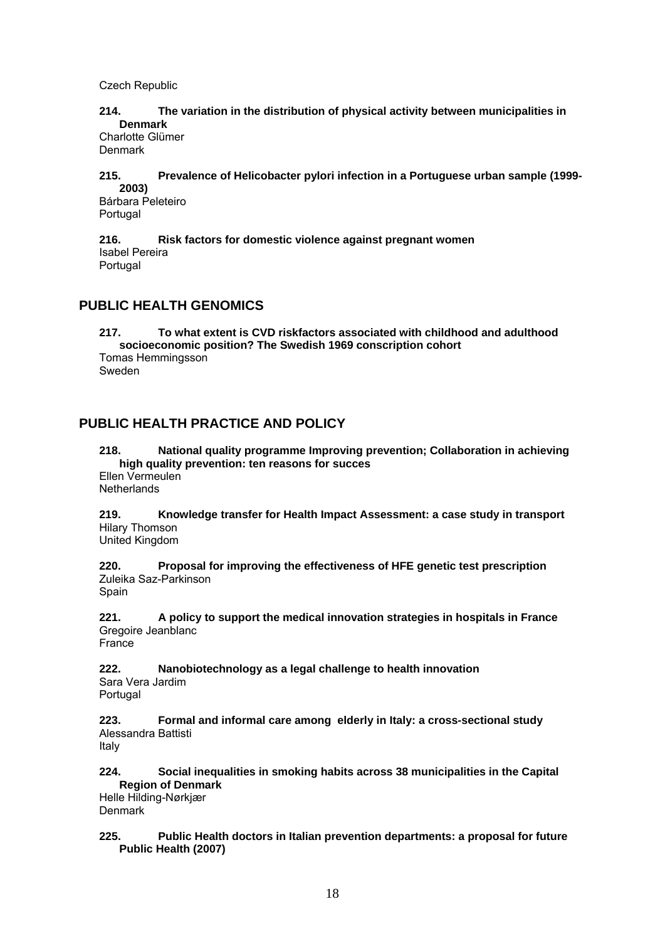Czech Republic

### **214. The variation in the distribution of physical activity between municipalities in Denmark**

Charlotte Glümer Denmark

#### **215. Prevalence of Helicobacter pylori infection in a Portuguese urban sample (1999- 2003)**

Bárbara Peleteiro Portugal

**216. Risk factors for domestic violence against pregnant women**  Isabel Pereira Portugal

## **PUBLIC HEALTH GENOMICS**

**217. To what extent is CVD riskfactors associated with childhood and adulthood socioeconomic position? The Swedish 1969 conscription cohort**  Tomas Hemmingsson Sweden

## **PUBLIC HEALTH PRACTICE AND POLICY**

**218. National quality programme Improving prevention; Collaboration in achieving high quality prevention: ten reasons for succes**  Ellen Vermeulen **Netherlands** 

**219. Knowledge transfer for Health Impact Assessment: a case study in transport**  Hilary Thomson United Kingdom

**220. Proposal for improving the effectiveness of HFE genetic test prescription**  Zuleika Saz-Parkinson Spain

**221. A policy to support the medical innovation strategies in hospitals in France**  Gregoire Jeanblanc France

**222. Nanobiotechnology as a legal challenge to health innovation**  Sara Vera Jardim Portugal

**223. Formal and informal care among elderly in Italy: a cross-sectional study**  Alessandra Battisti Italy

**224. Social inequalities in smoking habits across 38 municipalities in the Capital Region of Denmark** 

Helle Hilding-Nørkjær **Denmark** 

**225. Public Health doctors in Italian prevention departments: a proposal for future Public Health (2007)**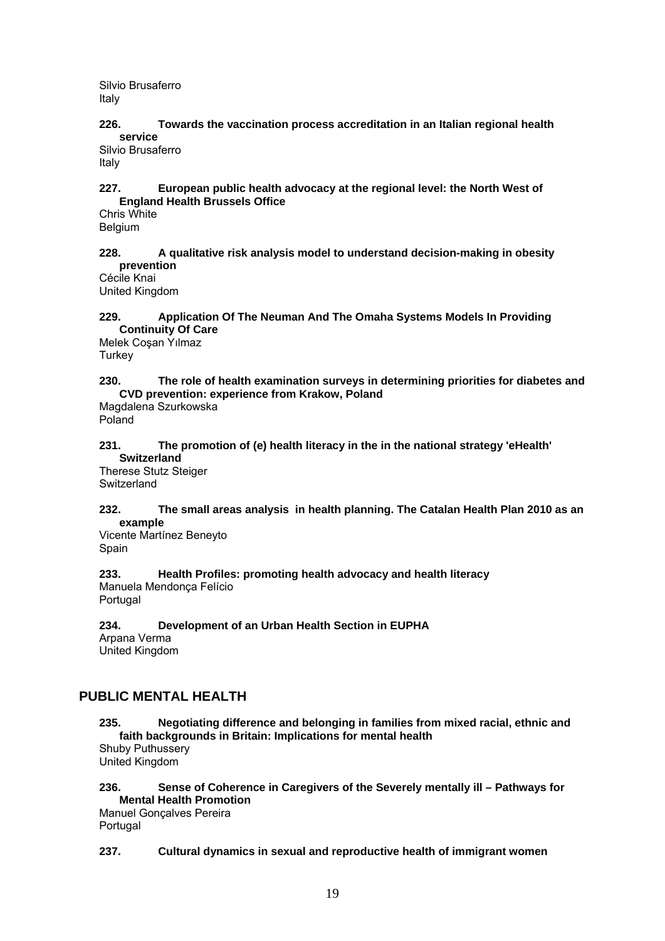Silvio Brusaferro Italy

**226. Towards the vaccination process accreditation in an Italian regional health service** 

Silvio Brusaferro Italy

### **227. European public health advocacy at the regional level: the North West of England Health Brussels Office**

Chris White Belgium

### **228. A qualitative risk analysis model to understand decision-making in obesity prevention**

Cécile Knai United Kingdom

### **229. Application Of The Neuman And The Omaha Systems Models In Providing Continuity Of Care**

Melek Coşan Yılmaz **Turkey** 

## **230. The role of health examination surveys in determining priorities for diabetes and CVD prevention: experience from Krakow, Poland**

Magdalena Szurkowska Poland

## **231. The promotion of (e) health literacy in the in the national strategy 'eHealth' Switzerland**

Therese Stutz Steiger Switzerland

### **232. The small areas analysis in health planning. The Catalan Health Plan 2010 as an example**

Vicente Martínez Beneyto Spain

**233. Health Profiles: promoting health advocacy and health literacy**  Manuela Mendonça Felício Portugal

#### **234. Development of an Urban Health Section in EUPHA**  Arpana Verma United Kingdom

## **PUBLIC MENTAL HEALTH**

**235. Negotiating difference and belonging in families from mixed racial, ethnic and faith backgrounds in Britain: Implications for mental health**  Shuby Puthussery United Kingdom

## **236. Sense of Coherence in Caregivers of the Severely mentally ill – Pathways for Mental Health Promotion**

Manuel Gonçalves Pereira Portugal

## **237. Cultural dynamics in sexual and reproductive health of immigrant women**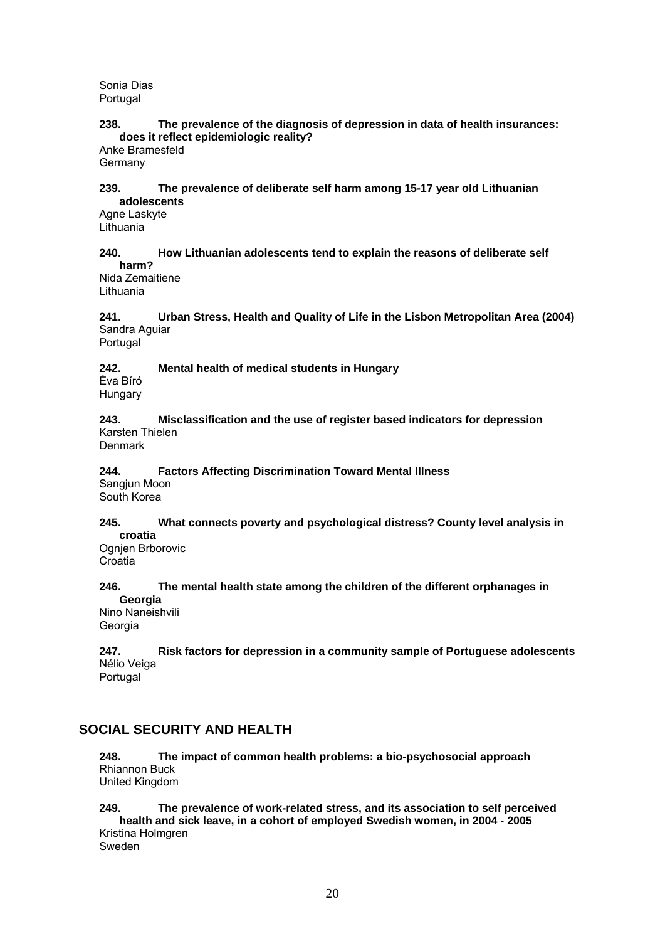Sonia Dias Portugal

### **238. The prevalence of the diagnosis of depression in data of health insurances: does it reflect epidemiologic reality?**

Anke Bramesfeld Germany

#### **239. The prevalence of deliberate self harm among 15-17 year old Lithuanian adolescents**

Agne Laskyte Lithuania

#### **240. How Lithuanian adolescents tend to explain the reasons of deliberate self harm?**

Nida Zemaitiene Lithuania

**241. Urban Stress, Health and Quality of Life in the Lisbon Metropolitan Area (2004)**  Sandra Aguiar

Portugal

**242. Mental health of medical students in Hungary**  Éva Bíró

Hungary

**243. Misclassification and the use of register based indicators for depression**  Karsten Thielen

**Denmark** 

#### **244. Factors Affecting Discrimination Toward Mental Illness**  Sangjun Moon

South Korea

#### **245. What connects poverty and psychological distress? County level analysis in croatia**

Ognjen Brborovic **Croatia** 

#### **246. The mental health state among the children of the different orphanages in Georgia**

Nino Naneishvili Georgia

**247. Risk factors for depression in a community sample of Portuguese adolescents**  Nélio Veiga Portugal

## **SOCIAL SECURITY AND HEALTH**

**248. The impact of common health problems: a bio-psychosocial approach**  Rhiannon Buck United Kingdom

#### **249. The prevalence of work-related stress, and its association to self perceived health and sick leave, in a cohort of employed Swedish women, in 2004 - 2005**  Kristina Holmgren Sweden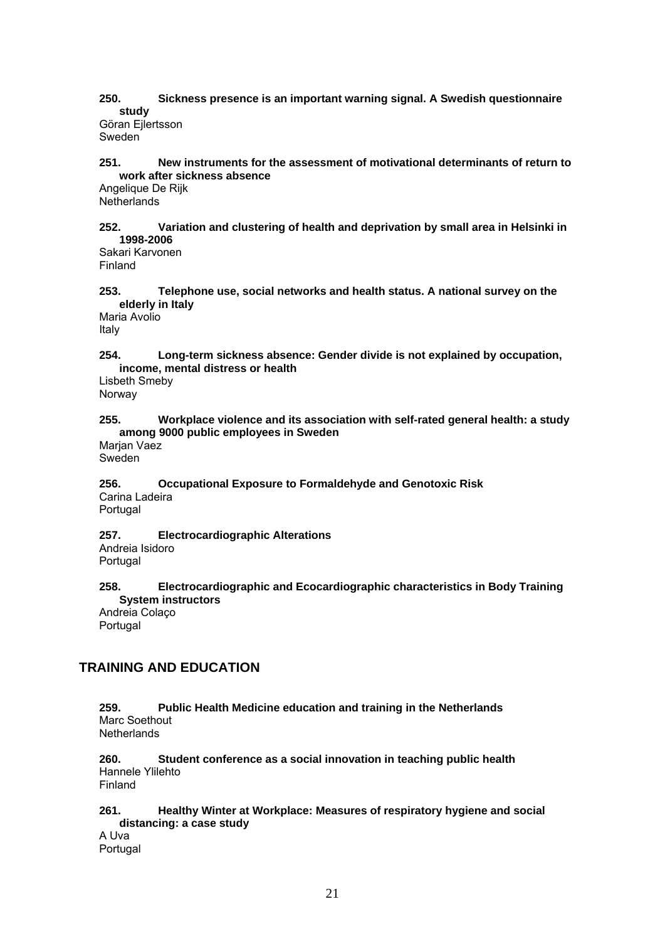## **250. Sickness presence is an important warning signal. A Swedish questionnaire study**

Göran Ejlertsson Sweden

#### **251. New instruments for the assessment of motivational determinants of return to work after sickness absence**

Angelique De Rijk **Netherlands** 

### **252. Variation and clustering of health and deprivation by small area in Helsinki in 1998-2006**

Sakari Karvonen Finland

**253. Telephone use, social networks and health status. A national survey on the elderly in Italy** 

Maria Avolio Italy

**254. Long-term sickness absence: Gender divide is not explained by occupation, income, mental distress or health** 

Lisbeth Smeby Norway

### **255. Workplace violence and its association with self-rated general health: a study among 9000 public employees in Sweden**

Marjan Vaez Sweden

#### **256. Occupational Exposure to Formaldehyde and Genotoxic Risk**  Carina Ladeira Portugal

**257. Electrocardiographic Alterations** 

Andreia Isidoro **Portugal** 

### **258. Electrocardiographic and Ecocardiographic characteristics in Body Training System instructors**

Andreia Colaço Portugal

## **TRAINING AND EDUCATION**

#### **259. Public Health Medicine education and training in the Netherlands**  Marc Soethout **Netherlands**

**260. Student conference as a social innovation in teaching public health**  Hannele Ylilehto Finland

### **261. Healthy Winter at Workplace: Measures of respiratory hygiene and social distancing: a case study**

A Uva Portugal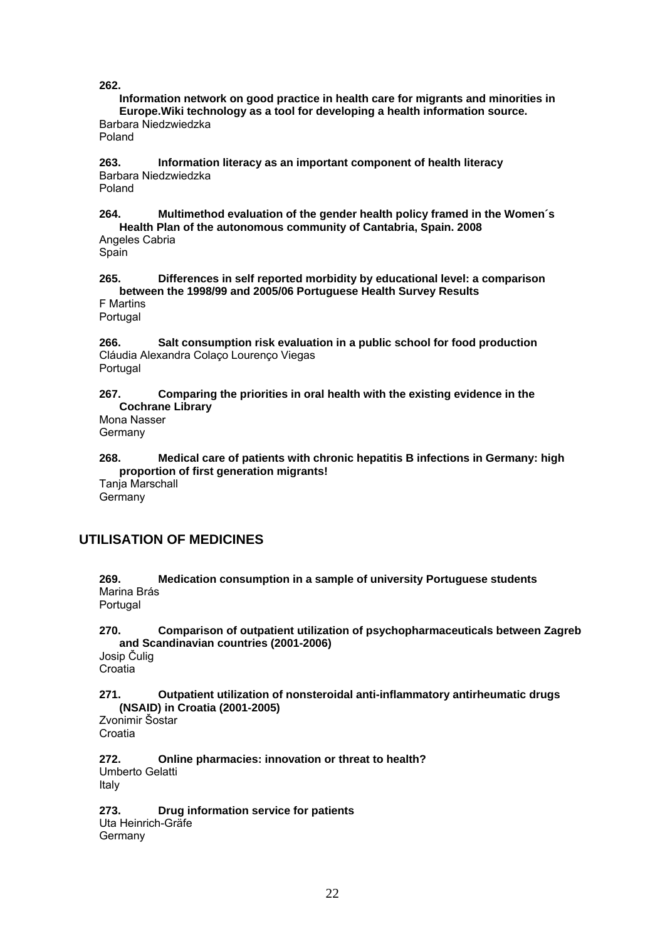**262.** 

**Information network on good practice in health care for migrants and minorities in Europe.Wiki technology as a tool for developing a health information source.**  Barbara Niedzwiedzka

Poland

**263. Information literacy as an important component of health literacy**  Barbara Niedzwiedzka Poland

**264. Multimethod evaluation of the gender health policy framed in the Women´s Health Plan of the autonomous community of Cantabria, Spain. 2008**  Angeles Cabria

**Spain** 

**265. Differences in self reported morbidity by educational level: a comparison between the 1998/99 and 2005/06 Portuguese Health Survey Results**  F Martins

Portugal

**266. Salt consumption risk evaluation in a public school for food production**  Cláudia Alexandra Colaço Lourenço Viegas Portugal

### **267. Comparing the priorities in oral health with the existing evidence in the Cochrane Library**

Mona Nasser **Germany** 

**268. Medical care of patients with chronic hepatitis B infections in Germany: high proportion of first generation migrants!** 

Tanja Marschall **Germany** 

## **UTILISATION OF MEDICINES**

**269. Medication consumption in a sample of university Portuguese students**  Marina Brás Portugal

**270. Comparison of outpatient utilization of psychopharmaceuticals between Zagreb and Scandinavian countries (2001-2006)** 

Josip Čulig Croatia

**271. Outpatient utilization of nonsteroidal anti-inflammatory antirheumatic drugs (NSAID) in Croatia (2001-2005)** 

Zvonimir Šostar Croatia

**272. Online pharmacies: innovation or threat to health?**  Umberto Gelatti Italy

**273. Drug information service for patients**  Uta Heinrich-Gräfe **Germany**